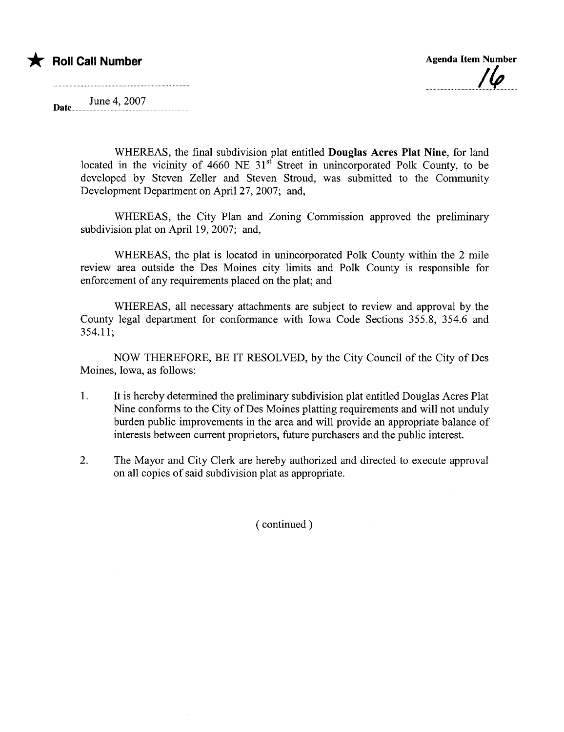## \* Roll Call Number Agenda Item Number

 $\overline{\mathbf{y}}$ 

June 4,2007 Date.....

> WHEREAS, the final subdivision plat entitled Douglas Acres Plat Nine, for land located in the vicinity of  $4660$  NE  $31<sup>st</sup>$  Street in unincorporated Polk County, to be developed by Steven Zeller and Steven Stroud, was submitted to the Community Development Department on April 27, 2007; and,

> WHEREAS, the City Plan and Zoning Commission approved the preliminary subdivision plat on April 19, 2007; and,

> WHEREAS, the plat is located in unincorporated Polk County within the 2 mile review area outside the Des Moines city limits and Polk County is responsible for enforcement of any requirements placed on the plat; and

> WHEREAS, all necessary attachments are subject to review and approval by the County legal department for conformance with Iowa Code Sections 355.8, 354.6 and 354.11;

> NOW THEREFORE, BE IT RESOLVED, by the City Council of the City of Des Moines, Iowa, as follows:

- 1. It is hereby determined the preliminary subdivision plat entitled Douglas Acres Plat Nine conforms to the City of Des Moines platting requirements and will not unduly burden public improvements in the area and will provide an appropriate balance of interests between current proprietors, future purchasers and the public interest.
- 2. The Mayor and City Clerk are hereby authorized and directed to execute approval on all copies of said subdivision plat as appropriate.

( continued)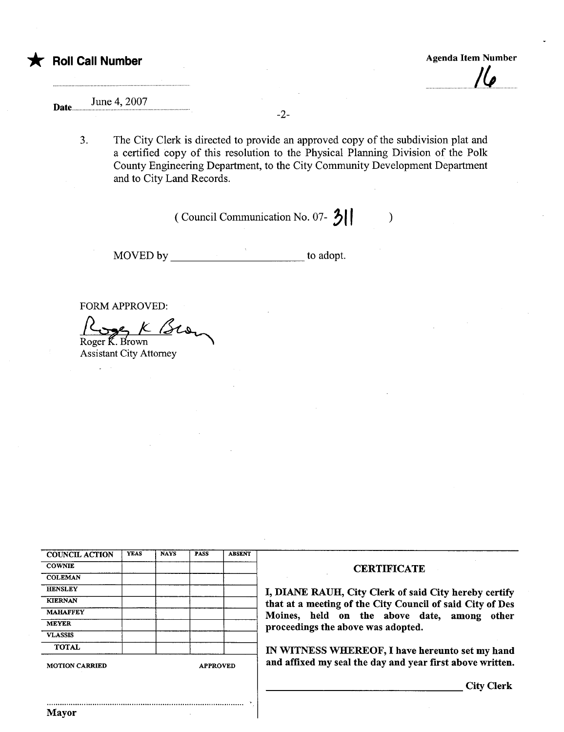## June 4, 2007 Date.......

3. The City Clerk is directed to provide an approved copy of the subdivision plat and a certified copy of this resolution to the Physical Planing Division of the Polk County Engineering Department, to the City Community Development Deparment and to City Land Records.

-2-

(Council Communication No. 07- $\left\{ \right\}$  )

MOVED by to adopt.

FORM APPROVED:

Rue K BLOW<br>Roger K. Brown Assistant City Attorney

| <b>COUNCIL ACTION</b> | <b>YEAS</b> | <b>NAYS</b> | <b>PASS</b>     | <b>ABSENT</b> |  |
|-----------------------|-------------|-------------|-----------------|---------------|--|
| <b>COWNIE</b>         |             |             |                 |               |  |
| <b>COLEMAN</b>        |             |             |                 |               |  |
| <b>HENSLEY</b>        |             |             |                 |               |  |
| <b>KIERNAN</b>        |             |             |                 |               |  |
| <b>MAHAFFEY</b>       |             |             |                 |               |  |
| <b>MEYER</b>          |             |             |                 |               |  |
| <b>VLASSIS</b>        |             |             |                 |               |  |
| <b>TOTAL</b>          |             |             |                 |               |  |
| <b>MOTION CARRIED</b> |             |             | <b>APPROVED</b> |               |  |

## **CERTIFICATE**

I, DIANE RAUH, City Clerk of said City hereby certify that at a meeting of the City Council of said City of Des Moines, held on the above date, among other proceedings the above was adopted.

IN WITNESS WHEREOF, I have hereunto set my hand and affixed my seal the day and year first above written.

City Clerk

..........................................................................................